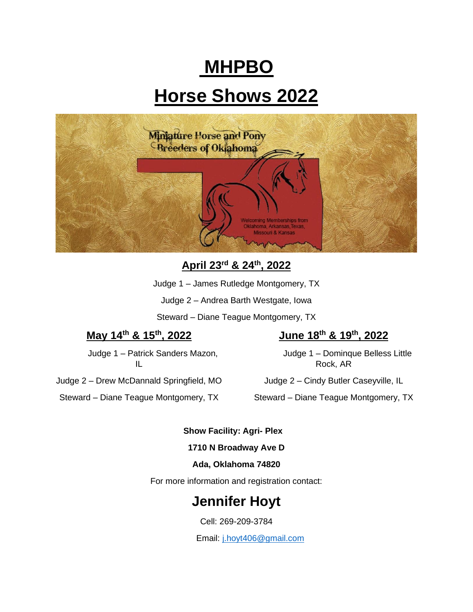# **MHPBO**

# **Horse Shows 2022**



**April 23 rd & 24th, 2022** 

Judge 1 – James Rutledge Montgomery, TX

Judge 2 – Andrea Barth Westgate, Iowa

Steward – Diane Teague Montgomery, TX

# **May 14th & 15th, 2022**

Judge 2 – Drew McDannald Springfield, MO

Judge 1 – Patrick Sanders Mazon, IL

# **June 18th & 19th, 2022**

Judge 1 – Dominque Belless Little Rock, AR

Judge 2 – Cindy Butler Caseyville, IL

Steward – Diane Teague Montgomery, TX

Steward – Diane Teague Montgomery, TX

# **Show Facility: Agri- Plex**

# **1710 N Broadway Ave D**

# **Ada, Oklahoma 74820**

For more information and registration contact:

# **Jennifer Hoyt**

Cell: 269-209-3784

Email: [j.hoyt406@gmail.com](mailto:j.hoyt406@gmail.com)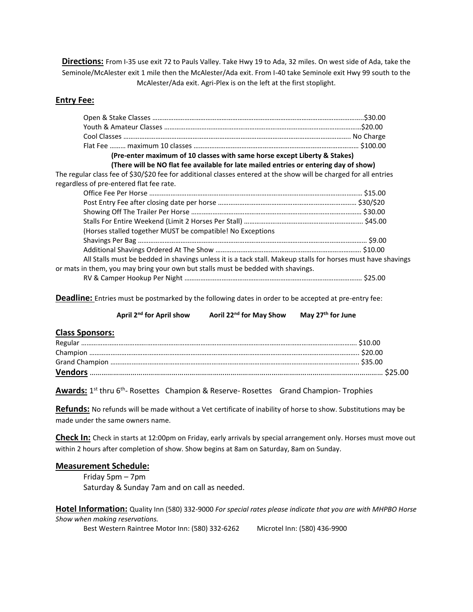**Directions:** From I-35 use exit 72 to Pauls Valley. Take Hwy 19 to Ada, 32 miles. On west side of Ada, take the Seminole/McAlester exit 1 mile then the McAlester/Ada exit. From I-40 take Seminole exit Hwy 99 south to the McAlester/Ada exit. Agri-Plex is on the left at the first stoplight.

# **Entry Fee:**

| (Pre-enter maximum of 10 classes with same horse except Liberty & Stakes)                                         |  |
|-------------------------------------------------------------------------------------------------------------------|--|
| (There will be NO flat fee available for late mailed entries or entering day of show)                             |  |
| The regular class fee of \$30/\$20 fee for additional classes entered at the show will be charged for all entries |  |
| regardless of pre-entered flat fee rate.                                                                          |  |
|                                                                                                                   |  |
|                                                                                                                   |  |
|                                                                                                                   |  |
|                                                                                                                   |  |
| (Horses stalled together MUST be compatible! No Exceptions                                                        |  |
|                                                                                                                   |  |
|                                                                                                                   |  |
| All Stalls must be bedded in shavings unless it is a tack stall. Makeup stalls for horses must have shavings      |  |
| or mats in them, you may bring your own but stalls must be bedded with shavings.                                  |  |
|                                                                                                                   |  |

**Deadline:** Entries must be postmarked by the following dates in order to be accepted at pre-entry fee:

**April 2nd for April show Aoril 22nd for May Show May 27th for June**

# **Class Sponsors:**

**Awards:** 1<sup>st</sup> thru 6<sup>th</sup>- Rosettes Champion & Reserve- Rosettes Grand Champion- Trophies

**Refunds:** No refunds will be made without a Vet certificate of inability of horse to show. Substitutions may be made under the same owners name.

**Check In:** Check in starts at 12:00pm on Friday, early arrivals by special arrangement only. Horses must move out within 2 hours after completion of show. Show begins at 8am on Saturday, 8am on Sunday.

# **Measurement Schedule:**

Friday 5pm – 7pm Saturday & Sunday 7am and on call as needed.

**Hotel Information:** Quality Inn (580) 332-9000 *For special rates please indicate that you are with MHPBO Horse Show when making reservations.*

Best Western Raintree Motor Inn: (580) 332-6262 Microtel Inn: (580) 436-9900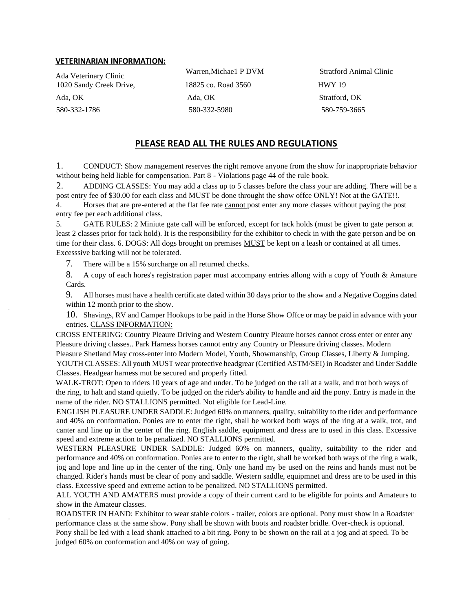### **VETERINARIAN INFORMATION:**

1020 Sandy Creek Drive, 18825 co. Road 3560 HWY 19 Ada, OK Ada, OK Stratford, OK

580-332-1786 580-332-5980 580-759-3665

Ada Veterinary Clinic Warren,Michae1 P DVM Stratford Animal Clinic

# **PLEASE READ ALL THE RULES AND REGULATIONS**

1. CONDUCT: Show management reserves the right remove anyone from the show for inappropriate behavior without being held liable for compensation. Part 8 - Violations page 44 of the rule book.

2. ADDING CLASSES: You may add a class up to 5 classes before the class your are adding. There will be a post entry fee of \$30.00 for each class and MUST be done throught the show offce ONLY! Not at the GATE!!.

4. Horses that are pre-entered at the flat fee rate cannot post enter any more classes without paying the post entry fee per each additional class.

5. GATE RULES: 2 Miniute gate call will be enforced, except for tack holds (must be given to gate person at least 2 classes prior for tack hold). It is the responsibility for the exhibitor to check in with the gate person and be on time for their class. 6. DOGS: All dogs brought on premises MUST be kept on a leash or contained at all times. Excesssive barking will not be tolerated.

7. There will be a 15% surcharge on all returned checks.

8. A copy of each hores's registration paper must accompany entries allong with a copy of Youth & Amature Cards.

9. All horses must have a health certificate dated within 30 days prior to the show and a Negative Coggins dated within 12 month prior to the show.

10. Shavings, RV and Camper Hookups to be paid in the Horse Show Offce or may be paid in advance with your entries. CLASS INFORMATION:

CROSS ENTERING: Country Pleaure Driving and Western Country Pleaure horses cannot cross enter or enter any Pleasure driving classes.. Park Harness horses cannot entry any Country or Pleasure driving classes. Modern Pleasure Shetland May cross-enter into Modern Model, Youth, Showmanship, Group Classes, Liberty & Jumping. YOUTH CLASSES: All youth MUST wear protective headgrear (Certified ASTM/SEI) in Roadster and Under Saddle Classes. Headgear harness mut be secured and properly fitted.

WALK-TROT: Open to riders 10 years of age and under. To be judged on the rail at a walk, and trot both ways of the ring, to halt and stand quietly. To be judged on the rider's ability to handle and aid the pony. Entry is made in the name of the rider. NO STALLIONS permitted. Not eligible for Lead-Line.

ENGLISH PLEASURE UNDER SADDLE: Judged 60% on manners, quality, suitability to the rider and performance and 40% on conformation. Ponies are to enter the right, shall be worked both ways of the ring at a walk, trot, and canter and line up in the center of the ring. English saddle, equipment and dress are to used in this class. Excessive speed and extreme action to be penalized. NO STALLIONS permitted.

WESTERN PLEASURE UNDER SADDLE: Judged 60% on manners, quality, suitability to the rider and performance and 40% on conformation. Ponies are to enter to the right, shall be worked both ways of the ring a walk, jog and lope and line up in the center of the ring. Only one hand my be used on the reins and hands must not be changed. Rider's hands must be clear of pony and saddle. Western saddle, equipmnet and dress are to be used in this class. Excessive speed and extreme action to be penalized. NO STALLIONS permitted.

ALL YOUTH AND AMATERS must provide a copy of their current card to be eligible for points and Amateurs to show in the Amateur classes.

ROADSTER IN HAND: Exhibitor to wear stable colors - trailer, colors are optional. Pony must show in a Roadster performance class at the same show. Pony shall be shown with boots and roadster bridle. Over-check is optional. Pony shall be led with a lead shank attached to a bit ring. Pony to be shown on the rail at a jog and at speed. To be judged 60% on conformation and 40% on way of going.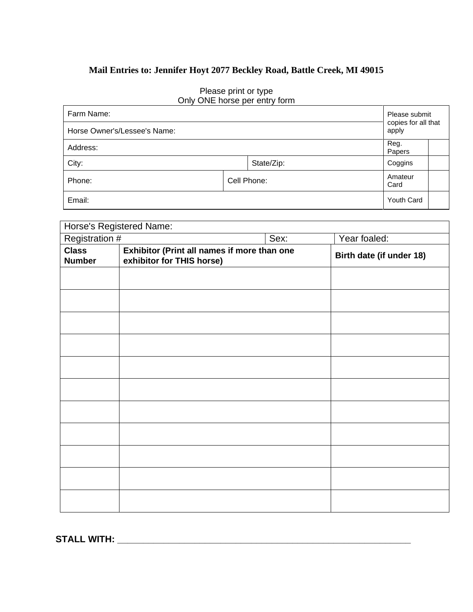# **Mail Entries to: Jennifer Hoyt 2077 Beckley Road, Battle Creek, MI 49015**

| Farm Name:                   |             | Please submit                |  |
|------------------------------|-------------|------------------------------|--|
| Horse Owner's/Lessee's Name: |             | copies for all that<br>apply |  |
| Address:                     |             | Reg.<br>Papers               |  |
| City:                        | State/Zip:  | Coggins                      |  |
| Phone:                       | Cell Phone: | Amateur<br>Card              |  |
| Email:                       |             | Youth Card                   |  |

# Please print or type Only ONE horse per entry form

|                               | <b>Horse's Registered Name:</b>                                          |      |                          |
|-------------------------------|--------------------------------------------------------------------------|------|--------------------------|
| Registration #                |                                                                          | Sex: | Year foaled:             |
| <b>Class</b><br><b>Number</b> | Exhibitor (Print all names if more than one<br>exhibitor for THIS horse) |      | Birth date (if under 18) |
|                               |                                                                          |      |                          |
|                               |                                                                          |      |                          |
|                               |                                                                          |      |                          |
|                               |                                                                          |      |                          |
|                               |                                                                          |      |                          |
|                               |                                                                          |      |                          |
|                               |                                                                          |      |                          |
|                               |                                                                          |      |                          |
|                               |                                                                          |      |                          |
|                               |                                                                          |      |                          |
|                               |                                                                          |      |                          |

**STALL WITH: \_\_\_\_\_\_\_\_\_\_\_\_\_\_\_\_\_\_\_\_\_\_\_\_\_\_\_\_\_\_\_\_\_\_\_\_\_\_\_\_\_\_\_\_\_\_\_\_\_\_\_\_\_\_\_\_\_**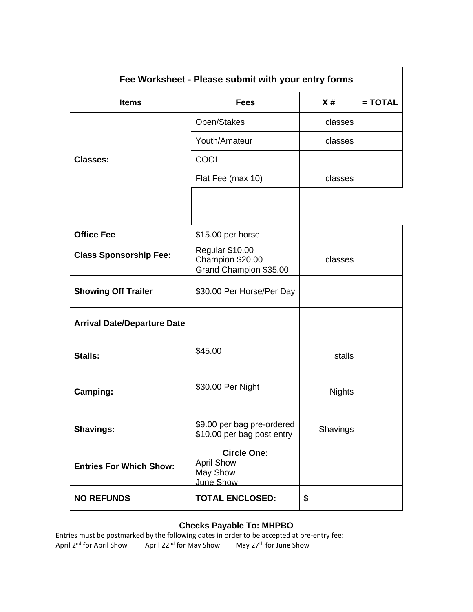|                                    | Fee Worksheet - Please submit with your entry forms              |               |           |
|------------------------------------|------------------------------------------------------------------|---------------|-----------|
| <b>Items</b>                       | <b>Fees</b>                                                      | X#            | $= TOTAL$ |
|                                    | Open/Stakes                                                      | classes       |           |
|                                    | Youth/Amateur                                                    | classes       |           |
| <b>Classes:</b>                    | <b>COOL</b>                                                      |               |           |
|                                    | Flat Fee (max 10)                                                | classes       |           |
|                                    |                                                                  |               |           |
|                                    |                                                                  |               |           |
| <b>Office Fee</b>                  | \$15.00 per horse                                                |               |           |
| <b>Class Sponsorship Fee:</b>      | Regular \$10.00<br>Champion \$20.00<br>Grand Champion \$35.00    | classes       |           |
| <b>Showing Off Trailer</b>         | \$30.00 Per Horse/Per Day                                        |               |           |
| <b>Arrival Date/Departure Date</b> |                                                                  |               |           |
| Stalls:                            | \$45.00                                                          | stalls        |           |
| Camping:                           | \$30.00 Per Night                                                | <b>Nights</b> |           |
| <b>Shavings:</b>                   | \$9.00 per bag pre-ordered<br>\$10.00 per bag post entry         | Shavings      |           |
| <b>Entries For Which Show:</b>     | <b>Circle One:</b><br><b>April Show</b><br>May Show<br>June Show |               |           |
| <b>NO REFUNDS</b>                  | <b>TOTAL ENCLOSED:</b>                                           | \$            |           |

# **Checks Payable To: MHPBO**

Entries must be postmarked by the following dates in order to be accepted at pre-entry fee: April 2<sup>nd</sup> for April Show April 22<sup>nd</sup> for May Show May 27<sup>th</sup> for June Show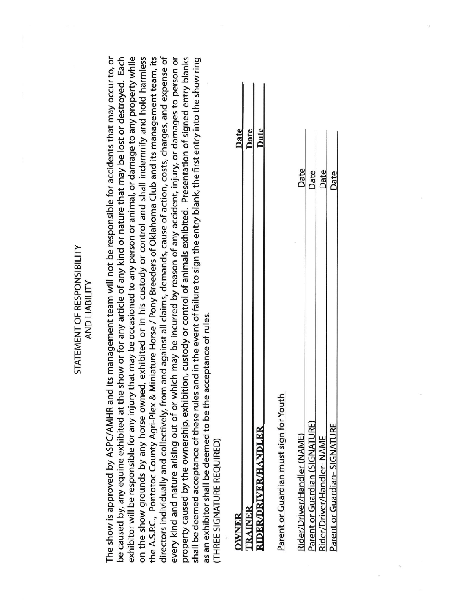# STATEMENT OF RESPONSIBILITY AND LIABILITY

be caused by, any equine exhibited at the show or for any article of any kind or nature that may be lost or destroyed. Each exhibitor will be responsible for any injury that may be occasioned to any person or animal, or damage to any property while on the show grounds by any horse owned, exhibited or in his custody or control and shall indemnify and hold harmless the A.S.P.C., Pontotoc County Agri-Plex & Miniature Horse / Pony Breeders of Oklahoma Club and its management team, its directors individually and collectively, from and against all claims, demands, cause of action, costs, charges, and expense of property caused by the ownership, exhibition, custody or control of animals exhibited. Presentation of signed entry blanks every kind and nature arising out of or which may be incurred by reason of any accident, injury, or damages to person or shall be deemed acceptance of these rules and in the event of failure to sign the entry blank, the first entry into the show ring The show is approved by ASPC/AMHR and its management team will not be responsible for accidents that may occur to, or as an exhibitor shall be deemed to be the acceptance of rules.

THREE SIGNATURE REQUIRED)

| TRAINER                      |  |
|------------------------------|--|
| <b>RIDER/DRIVER/HANDLER</b>  |  |
|                              |  |
| Parent or Guardian must sign |  |

| ler (NAME)<br>kider/Driver/Hand         | Date |
|-----------------------------------------|------|
| <b>(SIGNATURE)</b><br>arent or Guardian | Date |
| ler-NAN<br>Driver/Hand<br>ו הם היו      | Date |
| $-$ SIGNATURE<br>ă<br>barent of Callard | Date |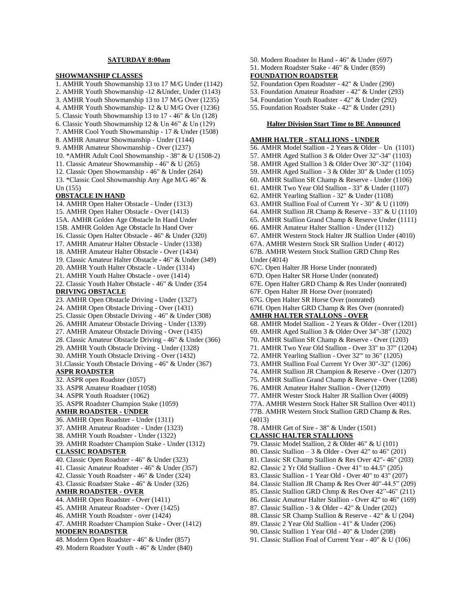# **SATURDAY 8:00am**

# **SHOWMANSHIP CLASSES**

1. AMHR Youth Showmanship 13 to 17 M/G Under (1142) 2. AMHR Youth Showmanship -12 &Under, Under (1143) 3. AMHR Youth Showmanship 13 to 17 M/G Over (1235) 4. AMHR Youth Showmanship- 12 & U M/G Over (1236) 5. Classic Youth Showmanship 13 to 17 - 46" & Un (128) 6. Classic Youth Showmanship 12 & Un 46" & Un (129) 7. AMHR Cool Youth Showmanship - 17 & Under (1508) 8. AMHR Amateur Showmanship - Under (1144) 9. AMHR Amateur Showmanship - Over (1237) 10. \*AMHR Adult Cool Showmanship - 38" & U (1508-2) 11. Classic Amateur Showmanship - 46" & U (265) 12. Classic Open Showmanship - 46" & Under (264) 13. \*Classic Cool Showmanship Any Age M/G 46" & Un (155) **OBSTACLE IN HAND** 14. AMHR Open Halter Obstacle - Under (1313) 15. AMHR Open Halter Obstacle - Over (1413) 15A. AMHR Golden Age Obstacle In Hand Under 15B. AMHR Golden Age Obstacle In Hand Over 16. Classic Open Halter Obstacle - 46" & Under (320) 17. AMHR Amateur Halter Obstacle - Under (1338) 18. AMHR Amateur Halter Obstacle - Over (1434) 19. Classic Amateur Halter Obstacle - 46" & Under (349) 20. AMHR Youth Halter Obstacle - Under (1314) 21. AMHR Youth Halter Obstacle - over (1414) 22. Classic Youth Halter Obstacle - 46" & Under (354 **DRIVING OBSTACLE** 23. AMHR Open Obstacle Driving - Under (1327) 24. AMHR Open Obstacle Driving - Over (1431) 25. Classic Open Obstacle Driving - 46" & Under (308) 26. AMHR Amateur Obstacle Driving - Under (1339) 27. AMHR Amateur Obstacle Driving - Over (1435) 28. Classic Amateur Obstacle Driving - 46" & Under (366) 29. AMHR Youth Obstacle Driving - Under (1328) 30. AMHR Youth Obstacle Driving - Over (1432) 31.Classic Youth Obstacle Driving - 46" & Under (367) **ASPR ROADSTER** 32. ASPR open Roadster (1057) 33. ASPR Amateur Roadster (1058) 34. ASPR Youth Roadster (1062) 35. ASPR Roadster Champion Stake (1059) **AMHR ROADSTER - UNDER** 36. AMHR Open Roadster - Under (1311) 37. AMHR Amateur Roadster - Under (1323) 38. AMHR Youth Roadster - Under (1322) 39. AMHR Roadster Champion Stake - Under (1312) **CLASSIC ROADSTER** 40. Classic Open Roadster - 46" & Under (323) 41. Classic Amateur Roadster - 46" & Under (357) 42. Classic Youth Roadster - 46" & Under (324) 43. Classic Roadster Stake - 46" & Under (326) **AMHR ROADSTER - OVER** 44. AMHR Open Roadster - Over (1411) 45. AMHR Amateur Roadster - Over (1425) 46. AMHR Youth Roadster - over (1424) 47. AMHR Roadster Champion Stake - Over (1412) **MODERN ROADSTER** 48. Modern Open Roadster - 46" & Under (857)

49. Modern Roadster Youth - 46" & Under (840)

- 50. Modern Roadster In Hand 46" & Under (697)
- 51. Modern Roadster Stake 46" & Under (859)

# **FOUNDATION ROADSTER**

- 52. Foundation Open Roadster 42" & Under (290)
- 53. Foundation Amateur Roadster 42" & Under (293)
- 54. Foundation Youth Roadster 42" & Under (292)
- 55. Foundation Roadster Stake 42" & Under (291)

#### **Halter Division Start Time to BE Announced**

# **AMHR HALTER - STALLIONS - UNDER**

56. AMHR Model Stallion - 2 Years & Older – Un (1101) 57. AMHR Aged Stallion 3 & Older Over 32"-34" (1103) 58. AMHR Aged Stallion 3 & Older Over 30"-32" (1104) 59. AMHR Aged Stallion - 3 & Older 30" & Under (1105) 60. AMHR Stallion SR Champ & Reserve - Under (1106) 61. AMHR Two Year Old Stallion - 33" & Under (1107) 62. AMHR Yearling Stallion - 32" & Under (1108) 63. AMHR Stallion Foal of Current Yr - 30" & U (1109) 64. AMHR Stallion JR Champ & Reserve - 33" & U (1110) 65. AMHR Stallion Grand Champ & Reserve Under (1111) 66. AMHR Amateur Halter Stallion - Under (1112) 67. AMHR Western Stock Halter JR Stallion Under (4010) 67A. AMHR Western Stock SR Stallion Under ( 4012) 67B. AMHR Western Stock Stallion GRD Chmp Res Under (4014) 67C. Open Halter JR Horse Under (nonrated) 67D. Open Halter SR Horse Under (nonrated) 67E. Open Halter GRD Champ & Res Under (nonrated) 67F. Open Halter JR Horse Over (nonrated) 67G. Open Halter SR Horse Over (nonrated) 67H. Open Halter GRD Champ & Res Over (nonrated) **AMHR HALTER STALLONS - OVER** 68. AMHR Model Stallion - 2 Years & Older - Over (1201) 69. AMHR Aged Stallion 3 & Older Over 34"-38" (1202) 70. AMHR Stallion SR Champ & Reserve - Over (1203) 71. AMHR Two Year Old Stallion - Over 33" to 37" (1204) 72. AMHR Yearling Stallion - Over 32'" to 36" (1205) 73. AMHR Stallion Foal Current Yr Over 30"-32" (1206) 74. AMHR Stallion JR Champion & Reserve - Over (1207) 75. AMHR Stallion Grand Champ & Reserve - Over (1208) 76. AMHR Amateur Halter Stallion - Over (1209) 77. AMHR Wester Stock Halter JR Stallion Over (4009) 77A. AMHR Western Stock Halter SR Stallion Over 4011) 77B. AMHR Western Stock Stallion GRD Champ & Res. (4013) 78. AMHR Get of Sire - 38" & Under (1501) **CLASSIC HALTER STALLIONS** 79. Classic Model Stallion, 2 & Older 46" & U (101) 80. Classic Stallion – 3 & Older - Over 42" to 46" (201) 81. Classic SR Champ Stallion & Res Over 42"- 46" (203) 82. Classic 2 Yr Old Stallion - Over 41" to 44.5" (205) 83. Classic Stallion - 1 Year Old - Over 40" to 43" (207) 84. Classic Stallion JR Champ & Res Over 40"-44.5" (209)

- 85. Classic Stallion GRD Chmp & Res Over 42"-46" (211)
- 86. Classic Amateur Halter Stallion Over 42" to 46" (169)
- 87. Classic Stallion 3 & Older 42" & Under (202)
- 88. Classic SR Champ Stallion & Reserve 42" & U (204)
- 89. Classic 2 Year Old Stallion 41" & Under (206)
- 90. Classic Stallion 1 Year Old 40" & Under (208)
- 91. Classic Stallion Foal of Current Year 40" & U (106)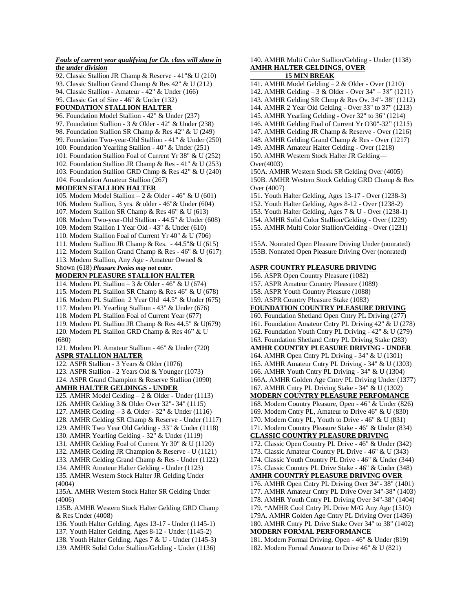# *Foals of current year qualifying for Ch. class will show in the under division*

92. Classic Stallion JR Champ & Reserve - 41"& U (210) 93. Classic Stallion Grand Champ & Res 42" & U (212) 94. Classic Stallion - Amateur - 42" & Under (166) 95. Classic Get of Sire - 46" & Under (132) **FOUNDATION STALLION HALTER** 96. Foundation Model Stallion - 42" & Under (237) 97. Foundation Stallion - 3 & Older - 42" & Under (238) 98. Foundation Stallion SR Champ & Res 42" & U (249) 99. Foundation Two-year-Old Stallion - 41" & Under (250) 100. Foundation Yearling Stallion - 40" & Under (251) 101. Foundation Stallion Foal of Current Yr 38" & U (252) 102. Foundation Stallion JR Champ & Res - 41" & U (253) 103. Foundation Stallion GRD Chmp & Res 42" & U (240) 104. Foundation Amateur Stallion (267) **MODERN STALLION HALTER** 105. Modern Model Stallion – 2 & Older - 46" & U (601) 106. Modern Stallion, 3 yrs. & older - 46"& Under (604) 107. Modern Stallion SR Champ & Res 46" & U (613) 108. Modern Two-year-Old Stallion - 44.5" & Under (608) 109. Modern Stallion 1 Year Old - 43" & Under (610) 110. Modern Stallion Foal of Current Yr 40" & U (706) 111. Modern Stallion JR Champ & Res. - 44.5"& U (615) 112. Modern Stallion Grand Champ & Res - 46" & U (617) 113. Modern Stallion, Any Age - Amateur Owned & Shown (618) *Pleasure Ponies may not enter.* **MODERN PLEASURE STALLION HALTER** 114. Modern PL Stallion – 3 & Older - 46" & U (674) 115. Modern PL Stallion SR Champ & Res 46" & U (678) 116. Modern PL Stallion 2 Year Old 44.5" & Under (675) 117. Modern PL Yearling Stallion - 43" & Under (676) 118. Modern PL Stallion Foal of Current Year (677) 119. Modern PL Stallion JR Champ & Res 44.5" & U(679) 120. Modern PL Stallion GRD Champ & Res 46" & U (680) 121. Modern PL Amateur Stallion - 46" & Under (720) **ASPR STALLION HALTER** 122. ASPR Stallion - 3 Years & Older (1076) 123. ASPR Stallion - 2 Years Old & Younger (1073) 124. ASPR Grand Champion & Reserve Stallion (1090) **AMHR HALTER GELDINGS - UNDER** 125. AMHR Model Gelding – 2 & Older - Under (1113) 126. AMHR Gelding 3 & Older Over 32"- 34" (1115) 127. AMHR Gelding – 3 & Older - 32" & Under (1116) 128. AMHR Gelding SR Champ & Reserve - Under (1117) 129. AMHR Two Year Old Gelding - 33" & Under (1118) 130. AMHR Yearling Gelding - 32" & Under (1119) 131. AMHR Gelding Foal of Current Yr 30" & U (1120) 132. AMHR Gelding JR Champion & Reserve - U (1121) 133. AMHR Gelding Grand Champ & Res - Under (1122) 134. AMHR Amateur Halter Gelding - Under (1123) 135. AMHR Western Stock Halter JR Gelding Under (4004)

135A. AMHR Western Stock Halter SR Gelding Under (4006)

135B. AMHR Western Stock Halter Gelding GRD Champ & Res Under (4008)

- 136. Youth Halter Gelding, Ages 13-17 Under (1145-1)
- 137. Youth Halter Gelding, Ages 8-12 Under (1145-2)
- 138. Youth Halter Gelding, Ages 7 & U Under (1145-3)
- 139. AMHR Solid Color Stallion/Gelding Under (1136)

140. AMHR Multi Color Stallion/Gelding - Under (1138) **AMHR HALTER GELDINGS, OVER**

# **15 MIN BREAK**

- 141. AMHR Model Gelding 2 & Older Over (1210)
- 142. AMHR Gelding 3 & Older Over 34" 38" (1211)
- 143. AMHR Gelding SR Chmp & Res Ov. 34"- 38" (1212)
- 144. AMHR 2 Year Old Gelding Over 33" to 37" (1213)
- 145. AMHR Yearling Gelding Over 32" to 36" (1214)
- 146. AMHR Gelding Foal of Current Yr O30"-32" (1215)
- 147. AMHR Gelding JR Champ & Reserve Over (1216)
- 148. AMHR Gelding Grand Champ & Res Over (1217)
- 149. AMHR Amateur Halter Gelding Over (1218)
- 150. AMHR Western Stock Halter JR Gelding—
- Over(4003)

150A. AMHR Western Stock SR Gelding Over (4005) 150B. AMHR Western Stock Gelding GRD Champ & Res Over (4007)

- 151. Youth Halter Gelding, Ages 13-17 Over (1238-3)
- 152. Youth Halter Gelding, Ages 8-12 Over (1238-2)
- 153. Youth Halter Gelding, Ages 7 & U Over (1238-1)
- 154. AMHR Solid Color Stallion/Gelding Over (1229)
- 155. AMHR Multi Color Stallion/Gelding Over (1231)

155A. Nonrated Open Pleasure Driving Under (nonrated) 155B. Nonrated Open Pleasure Driving Over (nonrated)

# **ASPR COUNTRY PLEASURE DRIVING**

156. ASPR Open Country Pleasure (1082) 157. ASPR Amateur Country Pleasure (1089) 158. ASPR Youth Country Pleasure (1088) 159. ASPR Country Pleasure Stake (1083) **FOUNDATION COUNTRY PLEASURE DRIVING** 160. Foundation Shetland Open Cntry PL Driving (277) 161. Foundation Amateur Cntry PL Driving 42" & U (278) 162. Foundation Youth Cntry PL Driving - 42" & U (279) 163. Foundation Shetland Cntry PL Driving Stake (283) **AMHR COUNTRY PLEASURE DRIVING - UNDER** 164. AMHR Open Cntry PL Driving - 34" & U (1301) 165. AMHR Amateur Cntry PL Driving - 34" & U (1303) 166. AMHR Youth Cntry PL Driving - 34" & U (1304) 166A. AMHR Golden Age Cntry PL Driving Under (1377) 167. AMHR Cntry PL Driving Stake - 34" & U (1302) **MODERN COUNTRY PLEASURE PERFOMANCE** 168. Modern Country Pleasure, Open - 46" & Under (826) 169. Modern Cntry PL, Amateur to Drive 46" & U (830) 170. Modern Cntry PL, Youth to Drive - 46" & U (831) 171. Modern Country Pleasure Stake - 46" & Under (834) **CLASSIC COUNTRY PLEASURE DRIVING** 172. Classic Open Country PL Drive - 46" & Under (342) 173. Classic Amateur Country PL Drive - 46" & U (343) 174. Classic Youth Country PL Drive - 46" & Under (344) 175. Classic Country PL Drive Stake - 46" & Under (348) **AMHR COUNTRY PLEASURE DRIVING OVER** 176. AMHR Open Cntry PL Driving Over 34"- 38" (1401) 177. AMHR Amateur Cntry PL Drive Over 34"-38" (1403) 178. AMHR Youth Cntry PL Driving Over 34"-38" (1404) 179. \*AMHR Cool Cntry PL Drive M/G Any Age (1510) 179A. AMHR Golden Age Cntry PL Driving Over (1436) 180. AMHR Cntry PL Drive Stake Over 34" to 38" (1402) **MODERN FORMAL PERFORMANCE** 181. Modern Formal Driving, Open - 46" & Under (819) 182. Modern Formal Amateur to Drive 46" & U (821)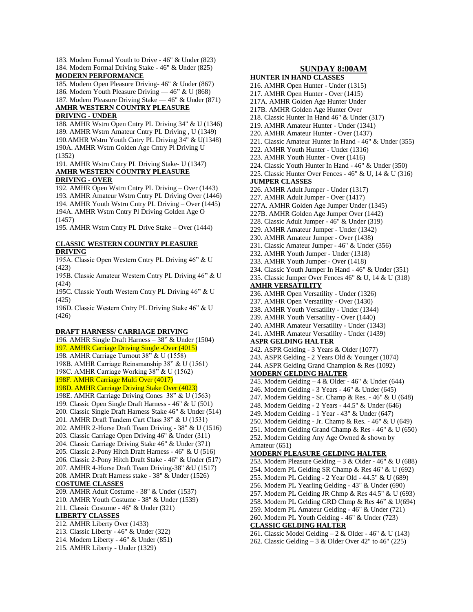183. Modern Formal Youth to Drive - 46" & Under (823) 184. Modern Formal Driving Stake - 46" & Under (825) **MODERN PERFORMANCE**

185. Modern Open Pleasure Driving- 46" & Under (867)

186. Modern Youth Pleasure Driving — 46" & U (868)

187. Modern Pleasure Driving Stake — 46" & Under (871) **AMHR WESTERN COUNTRY PLEASURE** 

### **DRIVING - UNDER**

188. AMHR Wstrn Open Cntry PL Driving 34" & U (1346) 189. AMHR Wstrn Amateur Cntry PL Driving , U (1349) 190.AMHR Wstrn Youth Cntry PL Driving 34" & U(1348) 190A. AMHR Wstrn Golden Age Cntry Pl Driving U (1352)

#### 191. AMHR Wstrn Cntry PL Driving Stake- U (1347) **AMHR WESTERN COUNTRY PLEASURE DRIVING - OVER**

192. AMHR Open Wstrn Cntry PL Driving – Over (1443) 193. AMHR Amateur Wstrn Cntry PL Driving Over (1446) 194. AMHR Youth Wstrn Cntry PL Driving – Over (1445) 194A. AMHR Wstrn Cntry Pl Driving Golden Age O (1457)

195. AMHR Wstrn Cntry PL Drive Stake – Over (1444)

# **CLASSIC WESTERN COUNTRY PLEASURE DRIVING**

195A. Classic Open Western Cntry PL Driving 46" & U (423)

195B. Classic Amateur Western Cntry PL Driving 46" & U (424)

195C. Classic Youth Western Cntry PL Driving 46" & U (425)

196D. Classic Western Cntry PL Driving Stake 46" & U (426)

#### **DRAFT HARNESS/ CARRIAGE DRIVING**

196. AMHR Single Draft Harness – 38" & Under (1504) 197. AMHR Carriage Driving Single -Over (4015) 198. AMHR Carriage Turnout 38" & U (1558) 198B. AMHR Carriage Reinsmanship 38" & U (1561) 198C. AMHR Carriage Working 38" & U (1562) 198F. AMHR Carriage Multi Over (4017) 198D. AMHR Carriage Driving Stake Over (4023) 198E. AMHR Carriage Driving Cones 38" & U (1563) 199. Classic Open Single Draft Harness - 46" & U (501) 200. Classic Single Draft Harness Stake 46" & Under (514) 201. AMHR Draft Tandem Cart Class 38" & U (1531) 202. AMHR 2-Horse Draft Team Driving - 38" & U (1516) 203. Classic Carriage Open Driving 46" & Under (311) 204. Classic Carriage Driving Stake 46" & Under (371) 205. Classic 2-Pony Hitch Draft Harness - 46" & U (516) 206. Classic 2-Pony Hitch Draft Stake - 46" & Under (517) 207. AMHR 4-Horse Draft Team Driving-38" &U (1517) 208. AMHR Draft Harness stake - 38" & Under (1526) **COSTUME CLASSES** 209. AMHR Adult Costume - 38" & Under (1537) 210. AMHR Youth Costume - 38" & Under (1539) 211. Classic Costume - 46" & Under (321) **LIBERTY CLASSES** 212. AMHR Liberty Over (1433) 213. Classic Liberty - 46" & Under (322)

214. Modern Liberty - 46" & Under (851)

215. AMHR Liberty - Under (1329)

# **SUNDAY 8:00AM**

**HUNTER IN HAND CLASSES** 216. AMHR Open Hunter - Under (1315) 217. AMHR Open Hunter - Over (1415) 217A. AMHR Golden Age Hunter Under 217B. AMHR Golden Age Hunter Over 218. Classic Hunter In Hand 46" & Under (317) 219. AMHR Amateur Hunter - Under (1341) 220. AMHR Amateur Hunter - Over (1437) 221. Classic Amateur Hunter In Hand - 46" & Under (355) 222. AMHR Youth Hunter - Under (1316) 223. AMHR Youth Hunter - Over (1416) 224. Classic Youth Hunter In Hand - 46" & Under (350) 225. Classic Hunter Over Fences - 46" & U, 14 & U (316) **JUMPER CLASSES** 226. AMHR Adult Jumper - Under (1317) 227. AMHR Adult Jumper - Over (1417) 227A. AMHR Golden Age Jumper Under (1345) 227B. AMHR Golden Age Jumper Over (1442) 228. Classic Adult Jumper - 46" & Under (319) 229. AMHR Amateur Jumper - Under (1342) 230. AMHR Amateur Jumper - Over (1438) 231. Classic Amateur Jumper - 46" & Under (356) 232. AMHR Youth Jumper - Under (1318) 233. AMHR Youth Jumper - Over (1418) 234. Classic Youth Jumper In Hand - 46" & Under (351) 235. Classic Jumper Over Fences 46" & U, 14 & U (318) **AMHR VERSATILITY** 236. AMHR Open Versatility - Under (1326) 237. AMHR Open Versatility - Over (1430) 238. AMHR Youth Versatility - Under (1344) 239. AMHR Youth Versatility - Over (1440) 240. AMHR Amateur Versatility - Under (1343) 241. AMHR Amateur Versatility - Under (1439) **ASPR GELDING HALTER** 242. ASPR Gelding - 3 Years & Older (1077) 243. ASPR Gelding - 2 Years Old & Younger (1074) 244. ASPR Gelding Grand Champion & Res (1092) **MODERN GELDING HALTER** 245. Modern Gelding – 4 & Older - 46" & Under (644) 246. Modern Gelding - 3 Years - 46" & Under (645) 247. Modern Gelding - Sr. Champ & Res. - 46" & U (648) 248. Modern Gelding - 2 Years - 44.5" & Under (646) 249. Modern Gelding - 1 Year - 43" & Under (647) 250. Modern Gelding - Jr. Champ & Res. - 46" & U (649) 251. Modern Gelding Grand Champ & Res - 46" & U (650) 252. Modern Gelding Any Age Owned & shown by Amateur (651) **MODERN PLEASURE GELDING HALTER** 253. Modern Pleasure Gelding  $-3 &$  Older - 46"  $&$  U (688) 254. Modern PL Gelding SR Champ & Res 46" & U (692) 255. Modern PL Gelding - 2 Year Old - 44.5" & U (689) 256. Modern PL Yearling Gelding - 43" & Under (690) 257. Modern PL Gelding JR Chmp & Res 44.5" & U (693) 258. Modern PL Gelding GRD Chmp & Res 46" & U(694) 259. Modern PL Amateur Gelding - 46" & Under (721) 260. Modern PL Youth Gelding - 46" & Under (723) **CLASSIC GELDING HALTER**

261. Classic Model Gelding  $-2 \&$  Older - 46" & U (143) 262. Classic Gelding  $-3 &$  Older Over 42" to 46" (225)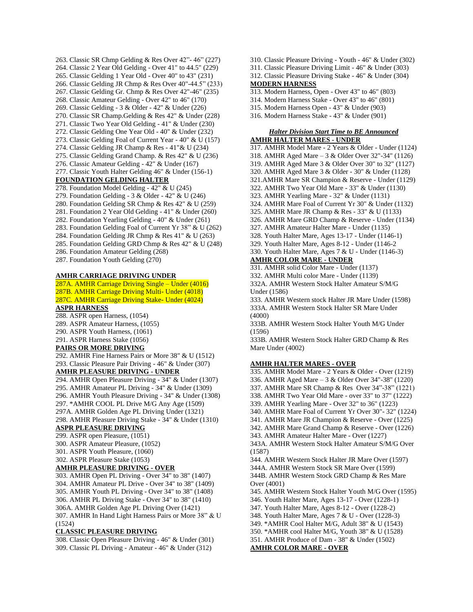263. Classic SR Chmp Gelding & Res Over 42"- 46" (227) 264. Classic 2 Year Old Gelding - Over 41" to 44.5" (229) 265. Classic Gelding 1 Year Old - Over 40" to 43" (231) 266. Classic Gelding JR Chmp & Res Over 40"-44.5" (233) 267. Classic Gelding Gr. Chmp & Res Over 42"-46" (235) 268. Classic Amateur Gelding - Over 42" to 46" (170) 269. Classic Gelding - 3 & Older - 42" & Under (226) 270. Classic SR Champ.Gelding & Res 42" & Under (228) 271. Classic Two Year Old Gelding - 41" & Under (230) 272. Classic Gelding One Year Old - 40" & Under (232) 273. Classic Gelding Foal of Current Year - 40" & U (157) 274. Classic Gelding JR Champ & Res - 41"& U (234) 275. Classic Gelding Grand Champ. & Res 42" & U (236) 276. Classic Amateur Gelding - 42" & Under (167) 277. Classic Youth Halter Gelding 46" & Under (156-1) **FOUNDATION GELDING HALTER** 278. Foundation Model Gelding - 42" & U (245) 279. Foundation Gelding - 3 & Older - 42" & U (246) 280. Foundation Gelding SR Chmp & Res 42" & U (259) 281. Foundation 2 Year Old Gelding - 41" & Under (260) 282. Foundation Yearling Gelding - 40" & Under (261) 283. Foundation Gelding Foal of Current Yr 38" & U (262) 284. Foundation Gelding JR Chmp & Res 41" & U (263) 285. Foundation Gelding GRD Chmp & Res 42" & U (248) 286. Foundation Amateur Gelding (268) 287. Foundation Youth Gelding (270)

# **AMHR CARRIAGE DRIVING UNDER**

287A. AMHR Carriage Driving Single – Under (4016) 287B. AMHR Carriage Driving Multi- Under (4018) 287C. AMHR Carriage Driving Stake- Under (4024) **ASPR HARNESS**

288. ASPR open Harness, (1054) 289. ASPR Amateur Harness, (1055) 290. ASPR Youth Harness, (1061)

291. ASPR Harness Stake (1056)

# **PAIRS OR MORE DRIVING**

292. AMHR Fine Harness Pairs or More 38" & U (1512) 293. Classic Pleasure Pair Driving - 46" & Under (307)

# **AMHR PLEASURE DRIVING - UNDER**

294. AMHR Open Pleasure Driving - 34" & Under (1307) 295. AMHR Amateur PL Driving - 34" & Under (1309) 296. AMHR Youth Pleasure Driving - 34" & Under (1308) 297. \*AMHR COOL PL Drive M/G Any Age (1509) 297A. AMHR Golden Age PL Driving Under (1321) 298. AMHR Pleasure Driving Stake - 34" & Under (1310)

### **ASPR PLEASURE DRIVING**

299. ASPR open Pleasure, (1051)

300. ASPR Amateur Pleasure, (1052)

301. ASPR Youth Pleasure, (1060)

302. ASPR Pleasure Stake (1053)

**AMHR PLEASURE DRIVING - OVER**

303. AMHR Open PL Driving - Over 34" to 38" (1407) 304. AMHR Amateur PL Drive - Over 34" to 38" (1409) 305. AMHR Youth PL Driving - Over 34" to 38" (1408) 306. AMHR PL Driving Stake - Over 34" to 38" (1410) 306A. AMHR Golden Age PL Driving Over (1421) 307. AMHR In Hand Light Harness Pairs or More 38" & U (1524)

# **CLASSIC PLEASURE DRIVING**

308. Classic Open Pleasure Driving - 46" & Under (301) 309. Classic PL Driving - Amateur - 46" & Under (312)

- 310. Classic Pleasure Driving Youth 46" & Under (302)
- 311. Classic Pleasure Driving Limit 46" & Under (303)
- 312. Classic Pleasure Driving Stake 46" & Under (304) **MODERN HARNESS**
- 313. Modern Harness, Open Over 43" to 46" (803)
- 314. Modern Harness Stake Over 43" to 46" (801)
- 315. Modern Harness Open 43" & Under (903)
- 316. Modern Harness Stake 43" & Under (901)

# *Halter Division Start Time to BE Announced* **AMHR HALTER MARES - UNDER**

- 317. AMHR Model Mare 2 Years & Older Under (1124)
- 318. AMHR Aged Mare 3 & Older Over 32"-34" (1126)
- 319. AMHR Aged Mare 3 & Older Over 30" to 32" (1127)
- 320. AMHR Aged Mare 3 & Older 30" & Under (1128)
- 321.AMHR Mare SR Champion & Reserve Under (1129)
- 322. AMHR Two Year Old Mare 33" & Under (1130)
- 323. AMHR Yearling Mare 32" & Under (1131)
- 324. AMHR Mare Foal of Current Yr 30" & Under (1132)
- 325. AMHR Mare JR Champ & Res 33" & U (1133)
- 326. AMHR Mare GRD Champ & Reserve Under (1134)
- 327. AMHR Amateur Halter Mare Under (1135)
- 328. Youth Halter Mare, Ages 13-17 Under (1146-1)
- 329. Youth Halter Mare, Ages 8-12 Under (1146-2 330. Youth Halter Mare, Ages 7 & U - Under (1146-3)

# **AMHR COLOR MARE - UNDER**

331. AMHR solid Color Mare - Under (1137)

332. AMHR Multi color Mare - Under (1139)

332A. AMHR Western Stock Halter Amateur S/M/G Under (1586)

333. AMHR Western stock Halter JR Mare Under (1598) 333A. AMHR Western Stock Halter SR Mare Under (4000)

333B. AMHR Western Stock Halter Youth M/G Under (1596)

333B. AMHR Western Stock Halter GRD Champ & Res Mare Under (4002)

#### **AMHR HALTER MARES - OVER**

335. AMHR Model Mare - 2 Years & Older - Over (1219) 336. AMHR Aged Mare – 3 & Older Over 34"-38" (1220) 337. AMHR Mare SR Champ & Res Over 34"-38" (1221) 338. AMHR Two Year Old Mare - over 33" to 37" (1222) 339. AMHR Yearling Mare - Over 32" to 36" (1223) 340. AMHR Mare Foal of Current Yr Over 30"- 32" (1224) 341. AMHR Mare JR Champion & Reserve - Over (1225) 342. AMHR Mare Grand Champ & Reserve - Over (1226) 343. AMHR Amateur Halter Mare - Over (1227) 343A. AMHR Western Stock Halter Amateur S/M/G Over (1587) 344. AMHR Western Stock Halter JR Mare Over (1597) 344A. AMHR Western Stock SR Mare Over (1599) 344B. AMHR Western Stock GRD Champ & Res Mare Over (4001) 345. AMHR Western Stock Halter Youth M/G Over (1595) 346. Youth Halter Mare, Ages 13-17 - Over (1228-1) 347. Youth Halter Mare, Ages 8-12 - Over (1228-2) 348. Youth Halter Mare, Ages 7 & U - Over (1228-3) 349. \*AMHR Cool Halter M/G, Adult 38" & U (1543) 350. \*AMHR cool Halter M/G, Youth 38" & U (1528) 351. AMHR Produce of Dam - 38" & Under (1502)

**AMHR COLOR MARE - OVER**